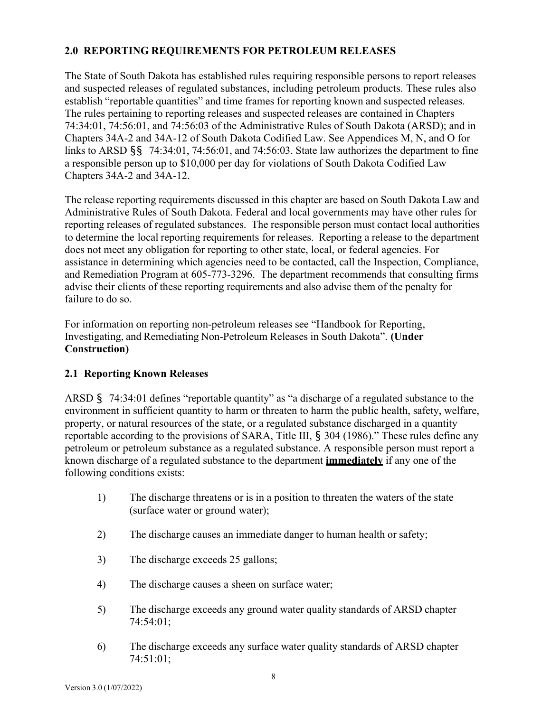### **2.0 REPORTING REQUIREMENTS FOR PETROLEUM RELEASES**

The State of South Dakota has established rules requiring responsible persons to report releases and suspected releases of regulated substances, including petroleum products. These rules also establish "reportable quantities" and time frames for reporting known and suspected releases. The rules pertaining to reporting releases and suspected releases are contained in Chapters 74:34:01, 74:56:01, and 74:56:03 of the Administrative Rules of South Dakota (ARSD); and in Chapters 34A-2 and 34A-12 of South Dakota Codified Law. See Appendices M, N, and O for links to ARSD §§ 74:34:01, 74:56:01, and 74:56:03. State law authorizes the department to fine a responsible person up to \$10,000 per day for violations of South Dakota Codified Law Chapters 34A-2 and 34A-12.

The release reporting requirements discussed in this chapter are based on South Dakota Law and Administrative Rules of South Dakota. Federal and local governments may have other rules for reporting releases of regulated substances. The responsible person must contact local authorities to determine the local reporting requirements for releases. Reporting a release to the department does not meet any obligation for reporting to other state, local, or federal agencies. For assistance in determining which agencies need to be contacted, call the Inspection, Compliance, and Remediation Program at 605-773-3296. The department recommends that consulting firms advise their clients of these reporting requirements and also advise them of the penalty for failure to do so.

For information on reporting non-petroleum releases see "Handbook for Reporting, Investigating, and Remediating Non-Petroleum Releases in South Dakota". **(Under Construction)**

# **2.1 Reporting Known Releases**

ARSD § 74:34:01 defines "reportable quantity" as "a discharge of a regulated substance to the environment in sufficient quantity to harm or threaten to harm the public health, safety, welfare, property, or natural resources of the state, or a regulated substance discharged in a quantity reportable according to the provisions of SARA, Title III, § 304 (1986)." These rules define any petroleum or petroleum substance as a regulated substance. A responsible person must report a known discharge of a regulated substance to the department **immediately** if any one of the following conditions exists:

- 1) The discharge threatens or is in a position to threaten the waters of the state (surface water or ground water);
- 2) The discharge causes an immediate danger to human health or safety;
- 3) The discharge exceeds 25 gallons;
- 4) The discharge causes a sheen on surface water;
- 5) The discharge exceeds any ground water quality standards of ARSD chapter 74:54:01;
- 6) The discharge exceeds any surface water quality standards of ARSD chapter 74:51:01;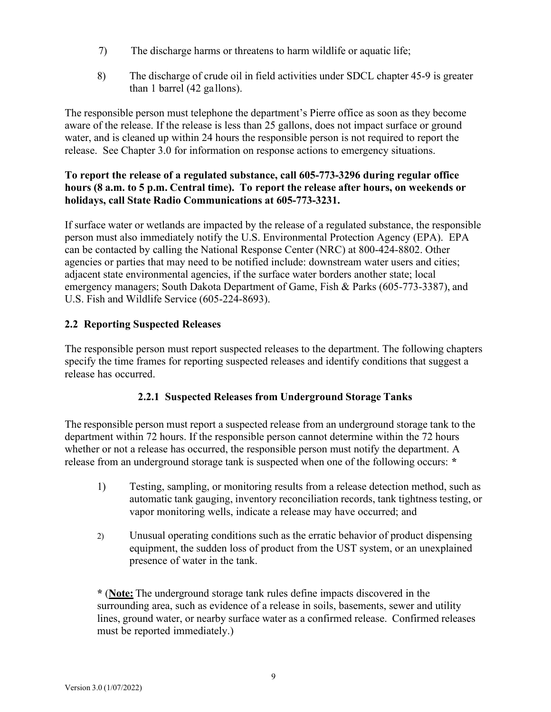- 7) The discharge harms or threatens to harm wildlife or aquatic life;
- 8) The discharge of crude oil in field activities under SDCL chapter 45-9 is greater than 1 barrel (42 gallons).

The responsible person must telephone the department's Pierre office as soon as they become aware of the release. If the release is less than 25 gallons, does not impact surface or ground water, and is cleaned up within 24 hours the responsible person is not required to report the release. See Chapter 3.0 for information on response actions to emergency situations.

### **To report the release of a regulated substance, call 605-773-3296 during regular office hours (8 a.m. to 5 p.m. Central time). To report the release after hours, on weekends or holidays, call State Radio Communications at 605-773-3231.**

If surface water or wetlands are impacted by the release of a regulated substance, the responsible person must also immediately notify the U.S. Environmental Protection Agency (EPA). EPA can be contacted by calling the National Response Center (NRC) at 800-424-8802. Other agencies or parties that may need to be notified include: downstream water users and cities; adjacent state environmental agencies, if the surface water borders another state; local emergency managers; South Dakota Department of Game, Fish & Parks (605-773-3387), and U.S. Fish and Wildlife Service (605-224-8693).

## **2.2 Reporting Suspected Releases**

The responsible person must report suspected releases to the department. The following chapters specify the time frames for reporting suspected releases and identify conditions that suggest a release has occurred.

### **2.2.1 Suspected Releases from Underground Storage Tanks**

The responsible person must report a suspected release from an underground storage tank to the department within 72 hours. If the responsible person cannot determine within the 72 hours whether or not a release has occurred, the responsible person must notify the department. A release from an underground storage tank is suspected when one of the following occurs: **\***

- 1) Testing, sampling, or monitoring results from a release detection method, such as automatic tank gauging, inventory reconciliation records, tank tightness testing, or vapor monitoring wells, indicate a release may have occurred; and
- 2) Unusual operating conditions such as the erratic behavior of product dispensing equipment, the sudden loss of product from the UST system, or an unexplained presence of water in the tank.

**\*** (**Note:** The underground storage tank rules define impacts discovered in the surrounding area, such as evidence of a release in soils, basements, sewer and utility lines, ground water, or nearby surface water as a confirmed release. Confirmed releases must be reported immediately.)